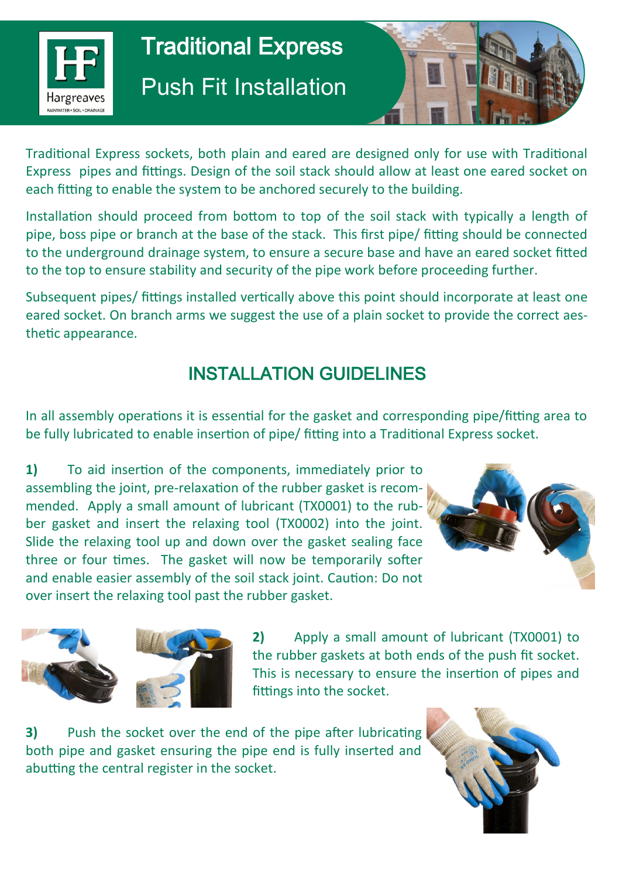

## Traditional Express Push Fit Installation



Traditional Express sockets, both plain and eared are designed only for use with Traditional Express pipes and fittings. Design of the soil stack should allow at least one eared socket on each fitting to enable the system to be anchored securely to the building.

Installation should proceed from bottom to top of the soil stack with typically a length of pipe, boss pipe or branch at the base of the stack. This first pipe/ fitting should be connected to the underground drainage system, to ensure a secure base and have an eared socket fitted to the top to ensure stability and security of the pipe work before proceeding further.

Subsequent pipes/ fittings installed vertically above this point should incorporate at least one eared socket. On branch arms we suggest the use of a plain socket to provide the correct aesthetic appearance.

## INSTALLATION GUIDELINES

In all assembly operations it is essential for the gasket and corresponding pipe/fitting area to be fully lubricated to enable insertion of pipe/ fitting into a Traditional Express socket.

**1)** To aid insertion of the components, immediately prior to assembling the joint, pre-relaxation of the rubber gasket is recommended. Apply a small amount of lubricant (TX0001) to the rubber gasket and insert the relaxing tool (TX0002) into the joint. Slide the relaxing tool up and down over the gasket sealing face three or four times. The gasket will now be temporarily softer and enable easier assembly of the soil stack joint. Caution: Do not over insert the relaxing tool past the rubber gasket.





**2)** Apply a small amount of lubricant (TX0001) to the rubber gaskets at both ends of the push fit socket. This is necessary to ensure the insertion of pipes and fittings into the socket.

**3)** Push the socket over the end of the pipe after lubricating both pipe and gasket ensuring the pipe end is fully inserted and abutting the central register in the socket.